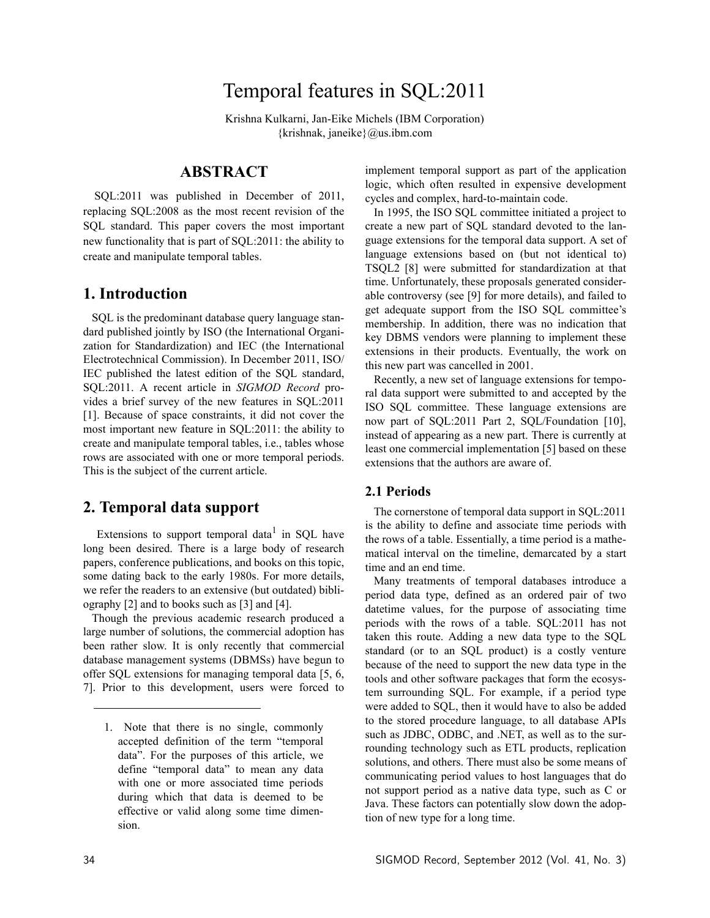# Temporal features in SQL:2011

Krishna Kulkarni, Jan-Eike Michels (IBM Corporation) {krishnak, janeike}@us.ibm.com

# **ABSTRACT**

SQL:2011 was published in December of 2011, replacing SQL:2008 as the most recent revision of the SQL standard. This paper covers the most important new functionality that is part of SQL:2011: the ability to create and manipulate temporal tables.

## **1. Introduction**

SQL is the predominant database query language standard published jointly by ISO (the International Organization for Standardization) and IEC (the International Electrotechnical Commission). In December 2011, ISO/ IEC published the latest edition of the SQL standard, SQL:2011. A recent article in *SIGMOD Record* provides a brief survey of the new features in SQL:2011 [1]. Because of space constraints, it did not cover the most important new feature in SQL:2011: the ability to create and manipulate temporal tables, i.e., tables whose rows are associated with one or more temporal periods. This is the subject of the current article.

## **2. Temporal data support**

Extensions to support temporal data<sup>1</sup> in SQL have long been desired. There is a large body of research papers, conference publications, and books on this topic, some dating back to the early 1980s. For more details, we refer the readers to an extensive (but outdated) bibliography [2] and to books such as [3] and [4].

Though the previous academic research produced a large number of solutions, the commercial adoption has been rather slow. It is only recently that commercial database management systems (DBMSs) have begun to offer SQL extensions for managing temporal data [5, 6, 7]. Prior to this development, users were forced to implement temporal support as part of the application logic, which often resulted in expensive development cycles and complex, hard-to-maintain code.

In 1995, the ISO SQL committee initiated a project to create a new part of SQL standard devoted to the language extensions for the temporal data support. A set of language extensions based on (but not identical to) TSQL2 [8] were submitted for standardization at that time. Unfortunately, these proposals generated considerable controversy (see [9] for more details), and failed to get adequate support from the ISO SQL committee's membership. In addition, there was no indication that key DBMS vendors were planning to implement these extensions in their products. Eventually, the work on this new part was cancelled in 2001.

Recently, a new set of language extensions for temporal data support were submitted to and accepted by the ISO SQL committee. These language extensions are now part of SQL:2011 Part 2, SQL/Foundation [10], instead of appearing as a new part. There is currently at least one commercial implementation [5] based on these extensions that the authors are aware of.

#### **2.1 Periods**

The cornerstone of temporal data support in SQL:2011 is the ability to define and associate time periods with the rows of a table. Essentially, a time period is a mathematical interval on the timeline, demarcated by a start time and an end time.

Many treatments of temporal databases introduce a period data type, defined as an ordered pair of two datetime values, for the purpose of associating time periods with the rows of a table. SQL:2011 has not taken this route. Adding a new data type to the SQL standard (or to an SQL product) is a costly venture because of the need to support the new data type in the tools and other software packages that form the ecosystem surrounding SQL. For example, if a period type were added to SQL, then it would have to also be added to the stored procedure language, to all database APIs such as JDBC, ODBC, and .NET, as well as to the surrounding technology such as ETL products, replication solutions, and others. There must also be some means of communicating period values to host languages that do not support period as a native data type, such as C or Java. These factors can potentially slow down the adoption of new type for a long time.

<sup>1.</sup> Note that there is no single, commonly accepted definition of the term "temporal data". For the purposes of this article, we define "temporal data" to mean any data with one or more associated time periods during which that data is deemed to be effective or valid along some time dimension.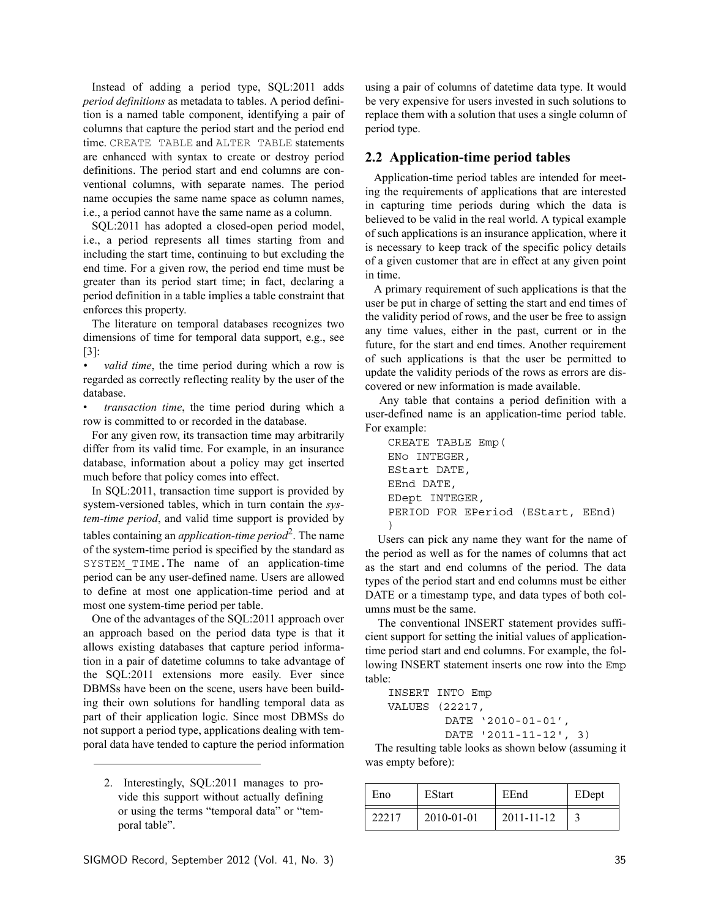Instead of adding a period type, SQL:2011 adds *period definitions* as metadata to tables. A period definition is a named table component, identifying a pair of columns that capture the period start and the period end time. CREATE TABLE and ALTER TABLE statements are enhanced with syntax to create or destroy period definitions. The period start and end columns are conventional columns, with separate names. The period name occupies the same name space as column names, i.e., a period cannot have the same name as a column.

SQL:2011 has adopted a closed-open period model, i.e., a period represents all times starting from and including the start time, continuing to but excluding the end time. For a given row, the period end time must be greater than its period start time; in fact, declaring a period definition in a table implies a table constraint that enforces this property.

The literature on temporal databases recognizes two dimensions of time for temporal data support, e.g., see [3]:

*• valid time*, the time period during which a row is regarded as correctly reflecting reality by the user of the database.

• *transaction time*, the time period during which a row is committed to or recorded in the database.

For any given row, its transaction time may arbitrarily differ from its valid time. For example, in an insurance database, information about a policy may get inserted much before that policy comes into effect.

In SQL:2011, transaction time support is provided by system-versioned tables, which in turn contain the *system-time period*, and valid time support is provided by tables containing an *application-time period*<sup>2</sup> . The name of the system-time period is specified by the standard as SYSTEM TIME. The name of an application-time period can be any user-defined name. Users are allowed to define at most one application-time period and at most one system-time period per table.

One of the advantages of the SQL:2011 approach over an approach based on the period data type is that it allows existing databases that capture period information in a pair of datetime columns to take advantage of the SQL:2011 extensions more easily. Ever since DBMSs have been on the scene, users have been building their own solutions for handling temporal data as part of their application logic. Since most DBMSs do not support a period type, applications dealing with temporal data have tended to capture the period information

2. Interestingly, SQL:2011 manages to provide this support without actually defining or using the terms "temporal data" or "temporal table".

using a pair of columns of datetime data type. It would be very expensive for users invested in such solutions to replace them with a solution that uses a single column of period type.

#### **2.2 Application-time period tables**

Application-time period tables are intended for meeting the requirements of applications that are interested in capturing time periods during which the data is believed to be valid in the real world. A typical example of such applications is an insurance application, where it is necessary to keep track of the specific policy details of a given customer that are in effect at any given point in time.

A primary requirement of such applications is that the user be put in charge of setting the start and end times of the validity period of rows, and the user be free to assign any time values, either in the past, current or in the future, for the start and end times. Another requirement of such applications is that the user be permitted to update the validity periods of the rows as errors are discovered or new information is made available.

 Any table that contains a period definition with a user-defined name is an application-time period table. For example:

```
CREATE TABLE Emp(
ENo INTEGER,
EStart DATE,
EEnd DATE,
EDept INTEGER,
PERIOD FOR EPeriod (EStart, EEnd)
)
```
 Users can pick any name they want for the name of the period as well as for the names of columns that act as the start and end columns of the period. The data types of the period start and end columns must be either DATE or a timestamp type, and data types of both columns must be the same.

 The conventional INSERT statement provides sufficient support for setting the initial values of applicationtime period start and end columns. For example, the following INSERT statement inserts one row into the Emp table:

```
INSERT INTO Emp
VALUES (22217, 
        DATE '2010-01-01',
        DATE '2011-11-12', 3)
```
The resulting table looks as shown below (assuming it was empty before):

| Eno   | <b>EStart</b> | EEnd       | EDept |
|-------|---------------|------------|-------|
| 22217 | 2010-01-01    | 2011-11-12 |       |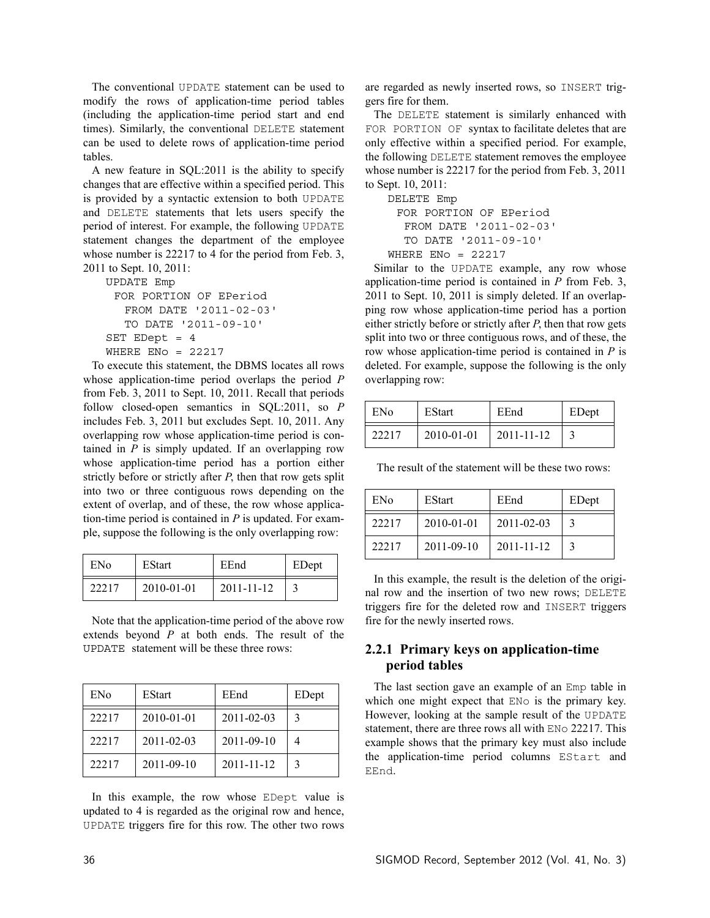The conventional UPDATE statement can be used to modify the rows of application-time period tables (including the application-time period start and end times). Similarly, the conventional DELETE statement can be used to delete rows of application-time period tables.

A new feature in SQL:2011 is the ability to specify changes that are effective within a specified period. This is provided by a syntactic extension to both UPDATE and DELETE statements that lets users specify the period of interest. For example, the following UPDATE statement changes the department of the employee whose number is 22217 to 4 for the period from Feb. 3, 2011 to Sept. 10, 2011:

UPDATE Emp FOR PORTION OF EPeriod FROM DATE '2011-02-03' TO DATE '2011-09-10' SET EDept = 4 WHERE  $ENO = 22217$ 

To execute this statement, the DBMS locates all rows whose application-time period overlaps the period *P* from Feb. 3, 2011 to Sept. 10, 2011. Recall that periods follow closed-open semantics in SQL:2011, so *P* includes Feb. 3, 2011 but excludes Sept. 10, 2011. Any overlapping row whose application-time period is contained in  $P$  is simply updated. If an overlapping row whose application-time period has a portion either strictly before or strictly after *P*, then that row gets split into two or three contiguous rows depending on the extent of overlap, and of these, the row whose application-time period is contained in *P* is updated. For example, suppose the following is the only overlapping row:

| ENo   | EStart     | EEnd       | EDept |
|-------|------------|------------|-------|
| 22217 | 2010-01-01 | 2011-11-12 |       |

Note that the application-time period of the above row extends beyond *P* at both ends. The result of the UPDATE statement will be these three rows:

| ENo   | EStart           | EEnd       | EDept         |
|-------|------------------|------------|---------------|
| 22217 | $2010 - 01 - 01$ | 2011-02-03 | $\mathcal{F}$ |
| 22217 | 2011-02-03       | 2011-09-10 |               |
| 22217 | 2011-09-10       | 2011-11-12 | $\mathcal{R}$ |

In this example, the row whose EDept value is updated to 4 is regarded as the original row and hence, UPDATE triggers fire for this row. The other two rows are regarded as newly inserted rows, so INSERT triggers fire for them.

The DELETE statement is similarly enhanced with FOR PORTION OF syntax to facilitate deletes that are only effective within a specified period. For example, the following DELETE statement removes the employee whose number is 22217 for the period from Feb. 3, 2011 to Sept. 10, 2011:

```
DELETE Emp
 FOR PORTION OF EPeriod
  FROM DATE '2011-02-03' 
  TO DATE '2011-09-10'
WHERE ENO = 22217
```
Similar to the UPDATE example, any row whose application-time period is contained in *P* from Feb. 3, 2011 to Sept. 10, 2011 is simply deleted. If an overlapping row whose application-time period has a portion either strictly before or strictly after *P*, then that row gets split into two or three contiguous rows, and of these, the row whose application-time period is contained in *P* is deleted. For example, suppose the following is the only overlapping row:

| ENo   | <b>EStart</b> | EEnd       | EDept |
|-------|---------------|------------|-------|
| 22217 | 2010-01-01    | 2011-11-12 |       |

The result of the statement will be these two rows:

| ENo   | <b>EStart</b>    | EEnd             | EDept             |
|-------|------------------|------------------|-------------------|
| 22217 | $2010 - 01 - 01$ | $2011 - 02 - 03$ |                   |
| 22217 | $2011 - 09 - 10$ | 2011-11-12       | $\mathbf{\Omega}$ |

In this example, the result is the deletion of the original row and the insertion of two new rows; DELETE triggers fire for the deleted row and INSERT triggers fire for the newly inserted rows.

## **2.2.1 Primary keys on application-time period tables**

The last section gave an example of an Emp table in which one might expect that  $ENO$  is the primary key. However, looking at the sample result of the UPDATE statement, there are three rows all with ENo 22217. This example shows that the primary key must also include the application-time period columns EStart and EEnd.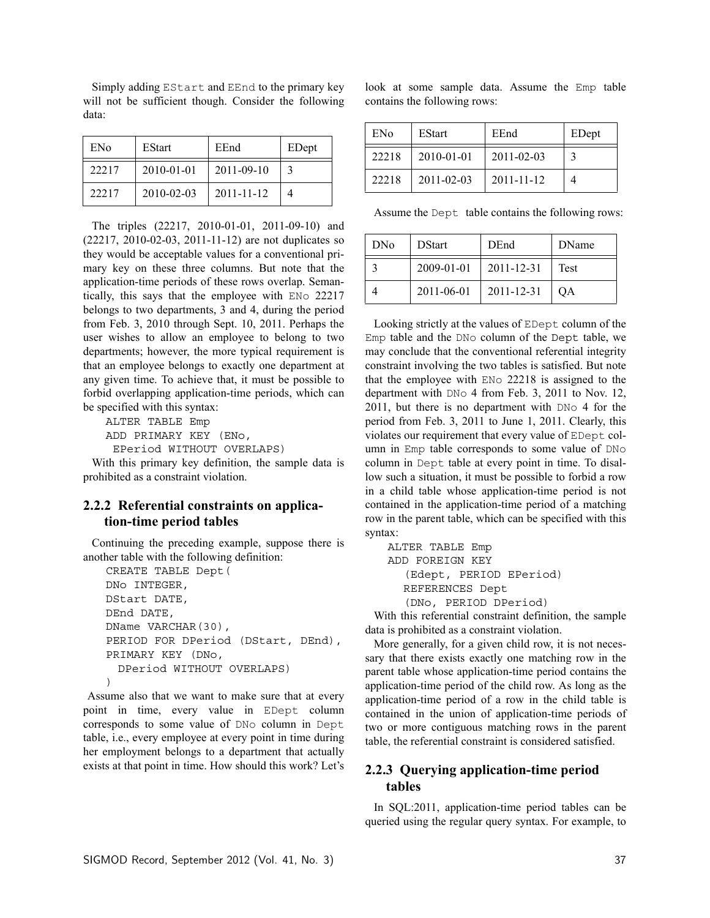Simply adding EStart and EEnd to the primary key will not be sufficient though. Consider the following data:

| ENo   | <b>EStart</b>    | EEnd       | EDept         |
|-------|------------------|------------|---------------|
| 22217 | $2010 - 01 - 01$ | 2011-09-10 | $\mathcal{R}$ |
| 22217 | 2010-02-03       | 2011-11-12 | 4             |

The triples (22217, 2010-01-01, 2011-09-10) and (22217, 2010-02-03, 2011-11-12) are not duplicates so they would be acceptable values for a conventional primary key on these three columns. But note that the application-time periods of these rows overlap. Semantically, this says that the employee with ENo 22217 belongs to two departments, 3 and 4, during the period from Feb. 3, 2010 through Sept. 10, 2011. Perhaps the user wishes to allow an employee to belong to two departments; however, the more typical requirement is that an employee belongs to exactly one department at any given time. To achieve that, it must be possible to forbid overlapping application-time periods, which can be specified with this syntax:

ALTER TABLE Emp ADD PRIMARY KEY (ENo, EPeriod WITHOUT OVERLAPS)

With this primary key definition, the sample data is prohibited as a constraint violation.

#### **2.2.2 Referential constraints on application-time period tables**

Continuing the preceding example, suppose there is another table with the following definition:

```
CREATE TABLE Dept(
DNo INTEGER,
DStart DATE,
DEnd DATE,
DName VARCHAR(30),
PERIOD FOR DPeriod (DStart, DEnd),
PRIMARY KEY (DNo, 
  DPeriod WITHOUT OVERLAPS)
\lambda
```
 Assume also that we want to make sure that at every point in time, every value in EDept column corresponds to some value of DNo column in Dept table, i.e., every employee at every point in time during her employment belongs to a department that actually exists at that point in time. How should this work? Let's

look at some sample data. Assume the Emp table contains the following rows:

| EN <sub>o</sub> | <b>EStart</b>    | EEnd             | EDept |
|-----------------|------------------|------------------|-------|
| 22218           | $2010 - 01 - 01$ | $2011 - 02 - 03$ |       |
| 22218           | $2011 - 02 - 03$ | 2011-11-12       |       |

Assume the Dept table contains the following rows:

| <b>DNo</b> | <b>D</b> Start | DEnd       | DName |
|------------|----------------|------------|-------|
|            | 2009-01-01     | 2011-12-31 | Test  |
|            | 2011-06-01     | 2011-12-31 | OΑ    |

Looking strictly at the values of EDept column of the Emp table and the DNo column of the Dept table, we may conclude that the conventional referential integrity constraint involving the two tables is satisfied. But note that the employee with ENo 22218 is assigned to the department with DNo 4 from Feb. 3, 2011 to Nov. 12, 2011, but there is no department with DNo 4 for the period from Feb. 3, 2011 to June 1, 2011. Clearly, this violates our requirement that every value of EDept column in Emp table corresponds to some value of DNo column in Dept table at every point in time. To disallow such a situation, it must be possible to forbid a row in a child table whose application-time period is not contained in the application-time period of a matching row in the parent table, which can be specified with this syntax:

ALTER TABLE Emp ADD FOREIGN KEY (Edept, PERIOD EPeriod) REFERENCES Dept (DNo, PERIOD DPeriod)

With this referential constraint definition, the sample data is prohibited as a constraint violation.

More generally, for a given child row, it is not necessary that there exists exactly one matching row in the parent table whose application-time period contains the application-time period of the child row. As long as the application-time period of a row in the child table is contained in the union of application-time periods of two or more contiguous matching rows in the parent table, the referential constraint is considered satisfied.

### **2.2.3 Querying application-time period tables**

In SQL:2011, application-time period tables can be queried using the regular query syntax. For example, to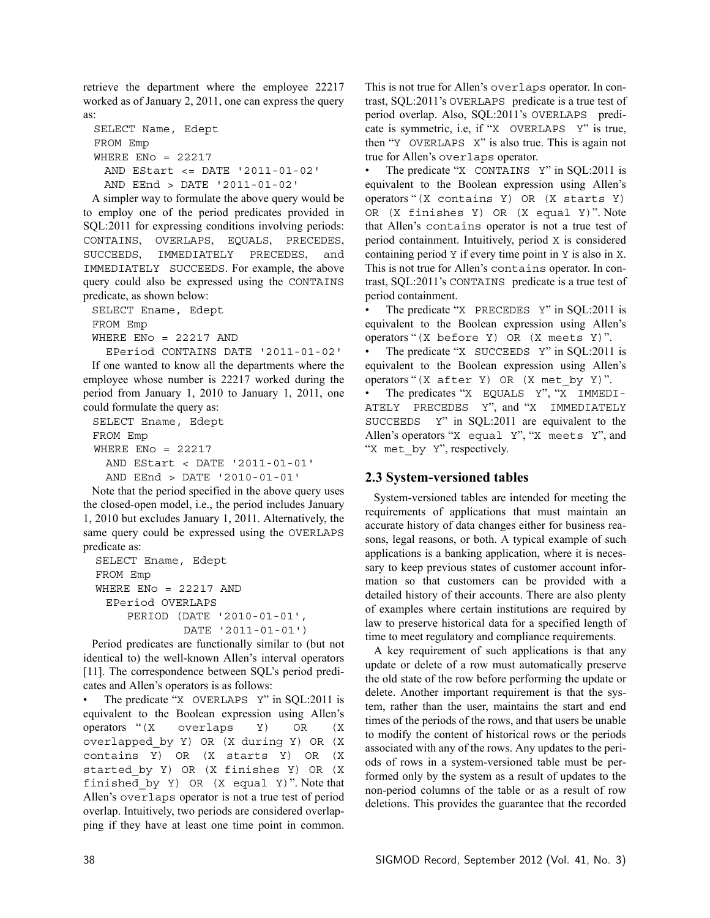retrieve the department where the employee 22217 worked as of January 2, 2011, one can express the query as:

```
SELECT Name, Edept
FROM Emp 
WHERE ENo = 22217AND EStart <= DATE '2011-01-02' 
 AND EEnd > DATE '2011-01-02'
```
A simpler way to formulate the above query would be to employ one of the period predicates provided in SQL:2011 for expressing conditions involving periods: CONTAINS, OVERLAPS, EQUALS, PRECEDES, SUCCEEDS, IMMEDIATELY PRECEDES, and IMMEDIATELY SUCCEEDS. For example, the above query could also be expressed using the CONTAINS predicate, as shown below:

SELECT Ename, Edept FROM Emp WHERE  $ENO = 22217$  AND EPeriod CONTAINS DATE '2011-01-02'

If one wanted to know all the departments where the employee whose number is 22217 worked during the period from January 1, 2010 to January 1, 2011, one could formulate the query as:

SELECT Ename, Edept FROM Emp WHERE ENo  $= 22217$ AND EStart < DATE '2011-01-01' AND EEnd > DATE '2010-01-01'

Note that the period specified in the above query uses the closed-open model, i.e., the period includes January 1, 2010 but excludes January 1, 2011. Alternatively, the same query could be expressed using the OVERLAPS predicate as:

```
SELECT Ename, Edept
FROM Emp 
WHERE ENO = 22217 AND
 EPeriod OVERLAPS 
    PERIOD (DATE '2010-01-01', 
             DATE '2011-01-01')
```
Period predicates are functionally similar to (but not identical to) the well-known Allen's interval operators [11]. The correspondence between SQL's period predicates and Allen's operators is as follows:

The predicate "X OVERLAPS Y" in SQL:2011 is equivalent to the Boolean expression using Allen's operators "(X overlaps Y) OR (X overlapped\_by Y) OR (X during Y) OR (X contains Y) OR (X starts Y) OR (X started\_by Y) OR (X finishes Y) OR (X finished\_by Y) OR (X equal Y)". Note that Allen's overlaps operator is not a true test of period overlap. Intuitively, two periods are considered overlapping if they have at least one time point in common. This is not true for Allen's overlaps operator. In contrast, SQL:2011's OVERLAPS predicate is a true test of period overlap. Also, SQL:2011's OVERLAPS predicate is symmetric, i.e, if "X OVERLAPS Y" is true, then "Y OVERLAPS X" is also true. This is again not true for Allen's overlaps operator.

The predicate "X CONTAINS Y" in SQL:2011 is equivalent to the Boolean expression using Allen's operators "(X contains Y) OR (X starts Y) OR (X finishes Y) OR (X equal Y)". Note that Allen's contains operator is not a true test of period containment. Intuitively, period X is considered containing period Y if every time point in Y is also in X. This is not true for Allen's contains operator. In contrast, SQL:2011's CONTAINS predicate is a true test of period containment.

The predicate "X PRECEDES Y" in SQL:2011 is equivalent to the Boolean expression using Allen's operators "(X before Y) OR (X meets Y)".

The predicate "X SUCCEEDS Y" in SQL:2011 is equivalent to the Boolean expression using Allen's operators "(X after Y) OR (X met\_by Y)". • The predicates "X EQUALS Y", "X IMMEDI-ATELY PRECEDES Y", and "X IMMEDIATELY SUCCEEDS Y" in SQL:2011 are equivalent to the Allen's operators "X equal Y", "X meets Y", and "X met by Y", respectively.

#### **2.3 System-versioned tables**

System-versioned tables are intended for meeting the requirements of applications that must maintain an accurate history of data changes either for business reasons, legal reasons, or both. A typical example of such applications is a banking application, where it is necessary to keep previous states of customer account information so that customers can be provided with a detailed history of their accounts. There are also plenty of examples where certain institutions are required by law to preserve historical data for a specified length of time to meet regulatory and compliance requirements.

A key requirement of such applications is that any update or delete of a row must automatically preserve the old state of the row before performing the update or delete. Another important requirement is that the system, rather than the user, maintains the start and end times of the periods of the rows, and that users be unable to modify the content of historical rows or the periods associated with any of the rows. Any updates to the periods of rows in a system-versioned table must be performed only by the system as a result of updates to the non-period columns of the table or as a result of row deletions. This provides the guarantee that the recorded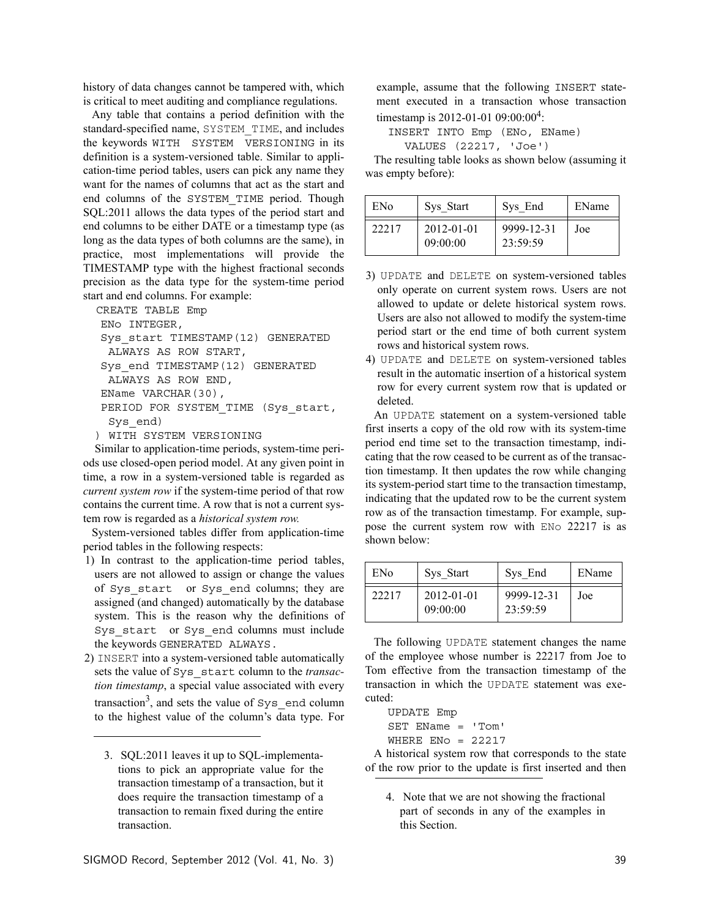history of data changes cannot be tampered with, which is critical to meet auditing and compliance regulations.

Any table that contains a period definition with the standard-specified name, SYSTEM\_TIME, and includes the keywords WITH SYSTEM VERSIONING in its definition is a system-versioned table. Similar to application-time period tables, users can pick any name they want for the names of columns that act as the start and end columns of the SYSTEM\_TIME period. Though SQL:2011 allows the data types of the period start and end columns to be either DATE or a timestamp type (as long as the data types of both columns are the same), in practice, most implementations will provide the TIMESTAMP type with the highest fractional seconds precision as the data type for the system-time period start and end columns. For example:

```
CREATE TABLE Emp
ENo INTEGER,
Sys_start TIMESTAMP(12) GENERATED 
 ALWAYS AS ROW START,
Sys_end TIMESTAMP(12) GENERATED 
 ALWAYS AS ROW END,
EName VARCHAR(30),
PERIOD FOR SYSTEM_TIME (Sys_start,
 Sys_end)
) WITH SYSTEM VERSIONING
```
 Similar to application-time periods, system-time periods use closed-open period model. At any given point in time, a row in a system-versioned table is regarded as *current system row* if the system-time period of that row contains the current time. A row that is not a current system row is regarded as a *historical system row.*

System-versioned tables differ from application-time period tables in the following respects:

- 1) In contrast to the application-time period tables, users are not allowed to assign or change the values of Sys\_start or Sys\_end columns; they are assigned (and changed) automatically by the database system. This is the reason why the definitions of Sys\_start or Sys\_end columns must include the keywords GENERATED ALWAYS.
- 2) INSERT into a system-versioned table automatically sets the value of Sys\_start column to the *transaction timestamp*, a special value associated with every transaction<sup>3</sup>, and sets the value of  $sys$  end column to the highest value of the column's data type. For

example, assume that the following INSERT statement executed in a transaction whose transaction timestamp is 2012-01-01 09:00:00<sup>4</sup>:

INSERT INTO Emp (ENo, EName) VALUES (22217, 'Joe')

The resulting table looks as shown below (assuming it was empty before):

| ENo   | Sys Start                    | Sys End                | EName |
|-------|------------------------------|------------------------|-------|
| 22217 | $2012 - 01 - 01$<br>09:00:00 | 9999-12-31<br>23:59:59 | Joe   |

- 3) UPDATE and DELETE on system-versioned tables only operate on current system rows. Users are not allowed to update or delete historical system rows. Users are also not allowed to modify the system-time period start or the end time of both current system rows and historical system rows.
- 4) UPDATE and DELETE on system-versioned tables result in the automatic insertion of a historical system row for every current system row that is updated or deleted.

An UPDATE statement on a system-versioned table first inserts a copy of the old row with its system-time period end time set to the transaction timestamp, indicating that the row ceased to be current as of the transaction timestamp. It then updates the row while changing its system-period start time to the transaction timestamp, indicating that the updated row to be the current system row as of the transaction timestamp. For example, suppose the current system row with ENo 22217 is as shown below:

| ENo   | Sys Start              | Sys End                | EName |
|-------|------------------------|------------------------|-------|
| 22217 | 2012-01-01<br>09:00:00 | 9999-12-31<br>23:59:59 | Joe   |

The following UPDATE statement changes the name of the employee whose number is 22217 from Joe to Tom effective from the transaction timestamp of the transaction in which the UPDATE statement was executed:

```
UPDATE Emp
SET EName = 'Tom'
WHERE ENO = 22217
```
A historical system row that corresponds to the state of the row prior to the update is first inserted and then

4. Note that we are not showing the fractional part of seconds in any of the examples in this Section.

<sup>3.</sup> SQL:2011 leaves it up to SQL-implementations to pick an appropriate value for the transaction timestamp of a transaction, but it does require the transaction timestamp of a transaction to remain fixed during the entire transaction.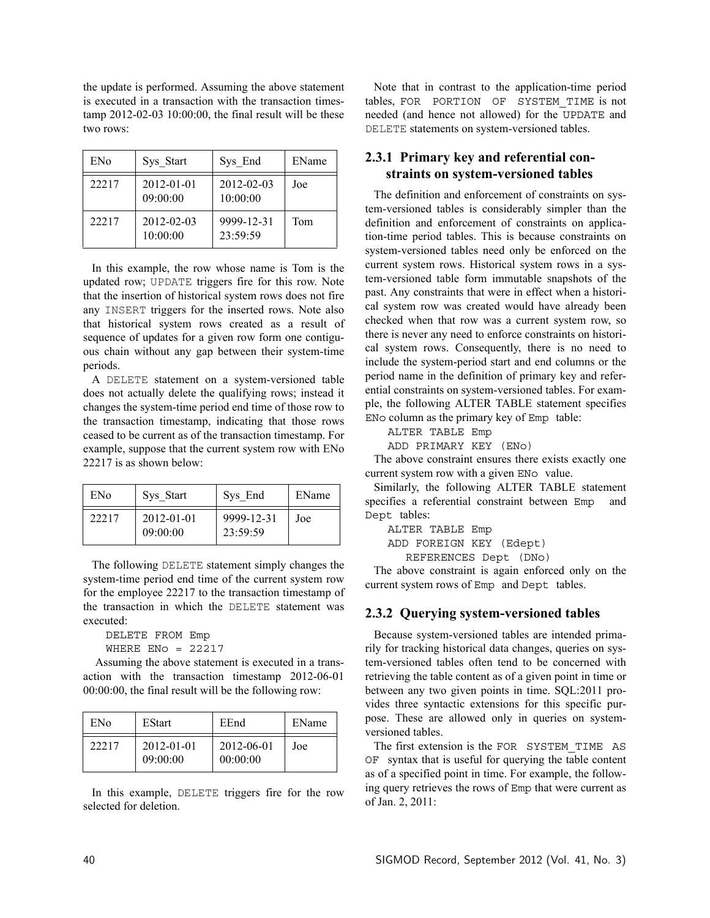the update is performed. Assuming the above statement is executed in a transaction with the transaction timestamp 2012-02-03 10:00:00, the final result will be these two rows:

| ENo   | Sys Start              | Sys End                | EName |
|-------|------------------------|------------------------|-------|
| 22217 | 2012-01-01<br>09:00:00 | 2012-02-03<br>10:00:00 | Joe   |
| 22217 | 2012-02-03<br>10:00:00 | 9999-12-31<br>23:59:59 | Tom   |

In this example, the row whose name is Tom is the updated row; UPDATE triggers fire for this row. Note that the insertion of historical system rows does not fire any INSERT triggers for the inserted rows. Note also that historical system rows created as a result of sequence of updates for a given row form one contiguous chain without any gap between their system-time periods.

A DELETE statement on a system-versioned table does not actually delete the qualifying rows; instead it changes the system-time period end time of those row to the transaction timestamp, indicating that those rows ceased to be current as of the transaction timestamp. For example, suppose that the current system row with ENo 22217 is as shown below:

| ENo   | Sys Start              | Sys End                | EName |
|-------|------------------------|------------------------|-------|
| 22217 | 2012-01-01<br>09:00:00 | 9999-12-31<br>23:59:59 | Joe   |

The following DELETE statement simply changes the system-time period end time of the current system row for the employee 22217 to the transaction timestamp of the transaction in which the DELETE statement was executed:

```
DELETE FROM Emp
WHERE ENO = 22217
```
 Assuming the above statement is executed in a transaction with the transaction timestamp 2012-06-01 00:00:00, the final result will be the following row:

| ENo   | <b>EStart</b>          | EEnd                   | EName |
|-------|------------------------|------------------------|-------|
| 22217 | 2012-01-01<br>09:00:00 | 2012-06-01<br>00:00:00 | Joe   |

In this example, DELETE triggers fire for the row selected for deletion.

Note that in contrast to the application-time period tables, FOR PORTION OF SYSTEM\_TIME is not needed (and hence not allowed) for the UPDATE and DELETE statements on system-versioned tables.

## **2.3.1 Primary key and referential constraints on system-versioned tables**

The definition and enforcement of constraints on system-versioned tables is considerably simpler than the definition and enforcement of constraints on application-time period tables. This is because constraints on system-versioned tables need only be enforced on the current system rows. Historical system rows in a system-versioned table form immutable snapshots of the past. Any constraints that were in effect when a historical system row was created would have already been checked when that row was a current system row, so there is never any need to enforce constraints on historical system rows. Consequently, there is no need to include the system-period start and end columns or the period name in the definition of primary key and referential constraints on system-versioned tables. For example, the following ALTER TABLE statement specifies ENo column as the primary key of Emp table:

ALTER TABLE Emp

ADD PRIMARY KEY (ENo)

The above constraint ensures there exists exactly one current system row with a given EN<sub>O</sub> value.

Similarly, the following ALTER TABLE statement specifies a referential constraint between Emp Dept tables:

ALTER TABLE Emp

ADD FOREIGN KEY (Edept)

REFERENCES Dept (DNo)

The above constraint is again enforced only on the current system rows of Emp and Dept tables.

#### **2.3.2 Querying system-versioned tables**

Because system-versioned tables are intended primarily for tracking historical data changes, queries on system-versioned tables often tend to be concerned with retrieving the table content as of a given point in time or between any two given points in time. SQL:2011 provides three syntactic extensions for this specific purpose. These are allowed only in queries on systemversioned tables.

The first extension is the FOR SYSTEM\_TIME AS OF syntax that is useful for querying the table content as of a specified point in time. For example, the following query retrieves the rows of Emp that were current as of Jan. 2, 2011: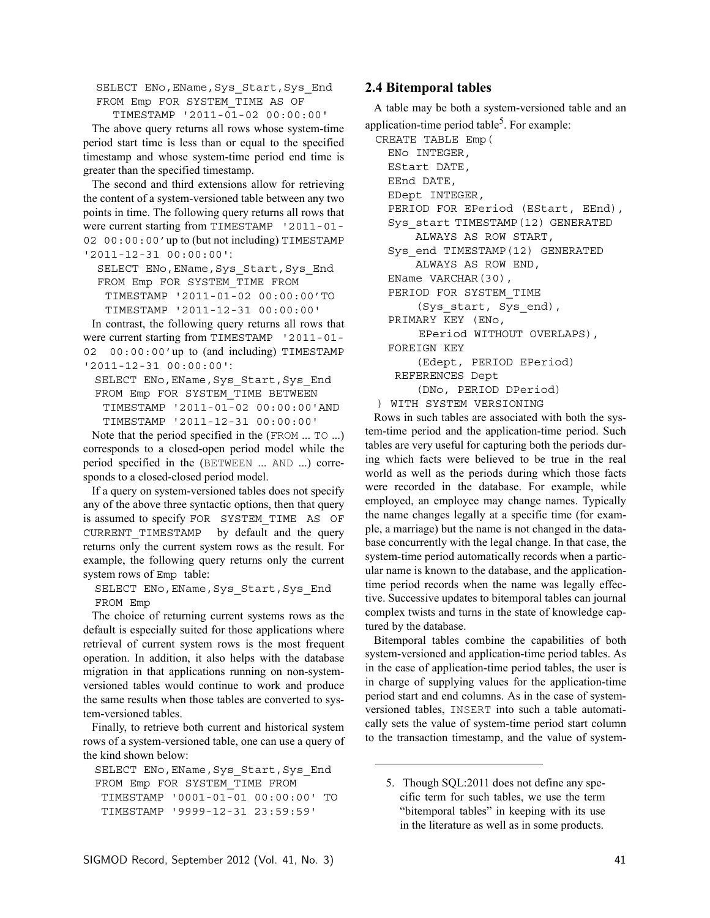SELECT ENo, EName, Sys Start, Sys End FROM Emp FOR SYSTEM\_TIME AS OF

TIMESTAMP '2011-01-02 00:00:00'

The above query returns all rows whose system-time period start time is less than or equal to the specified timestamp and whose system-time period end time is greater than the specified timestamp.

The second and third extensions allow for retrieving the content of a system-versioned table between any two points in time. The following query returns all rows that were current starting from TIMESTAMP '2011-01- 02 00:00:00'up to (but not including) TIMESTAMP '2011-12-31 00:00:00':

SELECT ENo, EName, Sys Start, Sys End FROM Emp FOR SYSTEM\_TIME FROM TIMESTAMP '2011-01-02 00:00:00'TO

TIMESTAMP '2011-12-31 00:00:00'

In contrast, the following query returns all rows that were current starting from TIMESTAMP '2011-01- 02 00:00:00'up to (and including) TIMESTAMP '2011-12-31 00:00:00':

SELECT ENo, EName, Sys Start, Sys End FROM Emp FOR SYSTEM\_TIME BETWEEN TIMESTAMP '2011-01-02 00:00:00'AND TIMESTAMP '2011-12-31 00:00:00'

Note that the period specified in the (FROM ... TO ...) corresponds to a closed-open period model while the period specified in the (BETWEEN ... AND ...) corresponds to a closed-closed period model.

If a query on system-versioned tables does not specify any of the above three syntactic options, then that query is assumed to specify FOR SYSTEM\_TIME AS OF CURRENT TIMESTAMP by default and the query returns only the current system rows as the result. For example, the following query returns only the current system rows of Emp table:

SELECT ENo, EName, Sys Start, Sys End FROM Emp

The choice of returning current systems rows as the default is especially suited for those applications where retrieval of current system rows is the most frequent operation. In addition, it also helps with the database migration in that applications running on non-systemversioned tables would continue to work and produce the same results when those tables are converted to system-versioned tables.

Finally, to retrieve both current and historical system rows of a system-versioned table, one can use a query of the kind shown below:

SELECT ENo, EName, Sys Start, Sys End FROM Emp FOR SYSTEM\_TIME FROM TIMESTAMP '0001-01-01 00:00:00' TO TIMESTAMP '9999-12-31 23:59:59'

#### **2.4 Bitemporal tables**

A table may be both a system-versioned table and an application-time period table<sup>5</sup>. For example:

```
CREATE TABLE Emp(
  ENo INTEGER,
 EStart DATE,
 EEnd DATE,
  EDept INTEGER,
  PERIOD FOR EPeriod (EStart, EEnd),
  Sys_start TIMESTAMP(12) GENERATED 
       ALWAYS AS ROW START,
  Sys_end TIMESTAMP(12) GENERATED 
       ALWAYS AS ROW END,
  EName VARCHAR(30),
  PERIOD FOR SYSTEM_TIME 
       (Sys_start, Sys_end),
  PRIMARY KEY (ENo, 
      EPeriod WITHOUT OVERLAPS),
  FOREIGN KEY 
       (Edept, PERIOD EPeriod) 
   REFERENCES Dept 
       (DNo, PERIOD DPeriod)
) WITH SYSTEM VERSIONING
```
Rows in such tables are associated with both the system-time period and the application-time period. Such tables are very useful for capturing both the periods during which facts were believed to be true in the real world as well as the periods during which those facts were recorded in the database. For example, while employed, an employee may change names. Typically the name changes legally at a specific time (for example, a marriage) but the name is not changed in the database concurrently with the legal change. In that case, the system-time period automatically records when a particular name is known to the database, and the applicationtime period records when the name was legally effective. Successive updates to bitemporal tables can journal complex twists and turns in the state of knowledge captured by the database.

Bitemporal tables combine the capabilities of both system-versioned and application-time period tables. As in the case of application-time period tables, the user is in charge of supplying values for the application-time period start and end columns. As in the case of systemversioned tables, INSERT into such a table automatically sets the value of system-time period start column to the transaction timestamp, and the value of system-

<sup>5.</sup> Though SQL:2011 does not define any specific term for such tables, we use the term "bitemporal tables" in keeping with its use in the literature as well as in some products.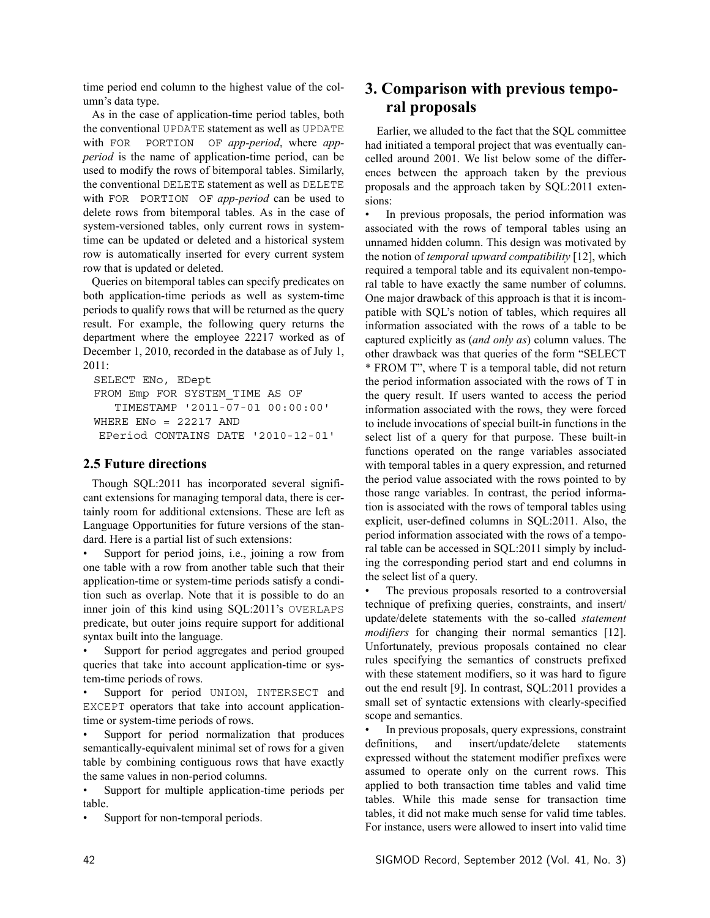time period end column to the highest value of the column's data type.

As in the case of application-time period tables, both the conventional UPDATE statement as well as UPDATE with FOR PORTION OF *app-period*, where *appperiod* is the name of application-time period, can be used to modify the rows of bitemporal tables. Similarly, the conventional DELETE statement as well as DELETE with FOR PORTION OF *app-period* can be used to delete rows from bitemporal tables. As in the case of system-versioned tables, only current rows in systemtime can be updated or deleted and a historical system row is automatically inserted for every current system row that is updated or deleted.

Queries on bitemporal tables can specify predicates on both application-time periods as well as system-time periods to qualify rows that will be returned as the query result. For example, the following query returns the department where the employee 22217 worked as of December 1, 2010, recorded in the database as of July 1, 2011:

```
SELECT ENo, EDept
FROM Emp FOR SYSTEM_TIME AS OF
    TIMESTAMP '2011-07-01 00:00:00'
WHERE ENO = 22217 AND
 EPeriod CONTAINS DATE '2010-12-01'
```
#### **2.5 Future directions**

Though SQL:2011 has incorporated several significant extensions for managing temporal data, there is certainly room for additional extensions. These are left as Language Opportunities for future versions of the standard. Here is a partial list of such extensions:

Support for period joins, i.e., joining a row from one table with a row from another table such that their application-time or system-time periods satisfy a condition such as overlap. Note that it is possible to do an inner join of this kind using SQL:2011's OVERLAPS predicate, but outer joins require support for additional syntax built into the language.

Support for period aggregates and period grouped queries that take into account application-time or system-time periods of rows.

Support for period UNION, INTERSECT and EXCEPT operators that take into account applicationtime or system-time periods of rows.

Support for period normalization that produces semantically-equivalent minimal set of rows for a given table by combining contiguous rows that have exactly the same values in non-period columns.

Support for multiple application-time periods per table.

Support for non-temporal periods.

# **3. Comparison with previous temporal proposals**

 Earlier, we alluded to the fact that the SQL committee had initiated a temporal project that was eventually cancelled around 2001. We list below some of the differences between the approach taken by the previous proposals and the approach taken by SQL:2011 extensions:

In previous proposals, the period information was associated with the rows of temporal tables using an unnamed hidden column. This design was motivated by the notion of *temporal upward compatibility* [12], which required a temporal table and its equivalent non-temporal table to have exactly the same number of columns. One major drawback of this approach is that it is incompatible with SQL's notion of tables, which requires all information associated with the rows of a table to be captured explicitly as (*and only as*) column values. The other drawback was that queries of the form "SELECT \* FROM T", where T is a temporal table, did not return the period information associated with the rows of T in the query result. If users wanted to access the period information associated with the rows, they were forced to include invocations of special built-in functions in the select list of a query for that purpose. These built-in functions operated on the range variables associated with temporal tables in a query expression, and returned the period value associated with the rows pointed to by those range variables. In contrast, the period information is associated with the rows of temporal tables using explicit, user-defined columns in SQL:2011. Also, the period information associated with the rows of a temporal table can be accessed in SQL:2011 simply by including the corresponding period start and end columns in the select list of a query.

The previous proposals resorted to a controversial technique of prefixing queries, constraints, and insert/ update/delete statements with the so-called *statement modifiers* for changing their normal semantics [12]. Unfortunately, previous proposals contained no clear rules specifying the semantics of constructs prefixed with these statement modifiers, so it was hard to figure out the end result [9]. In contrast, SQL:2011 provides a small set of syntactic extensions with clearly-specified scope and semantics.

In previous proposals, query expressions, constraint definitions, and insert/update/delete statements expressed without the statement modifier prefixes were assumed to operate only on the current rows. This applied to both transaction time tables and valid time tables. While this made sense for transaction time tables, it did not make much sense for valid time tables. For instance, users were allowed to insert into valid time